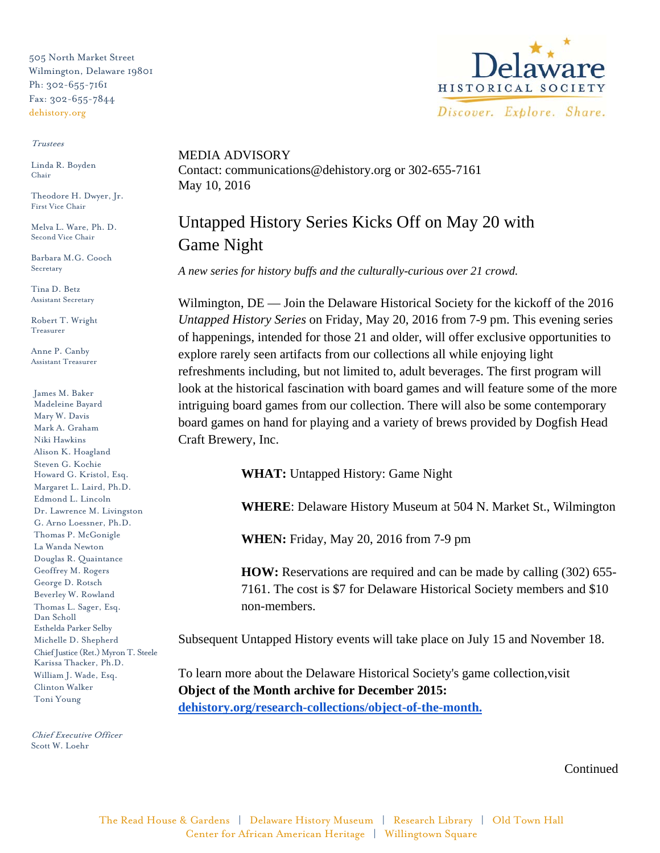505 North Market Street Wilmington, Delaware 19801 Ph: 302-655-7161 Fax: 302-655-7844 dehistory.org

## Trustees

Linda R. Boyden Chair

Theodore H. Dwyer, Jr. First Vice Chair

Melva L. Ware, Ph. D. Second Vice Chair

Barbara M.G. Cooch Secretary

Tina D. Betz Assistant Secretary

Robert T. Wright Treasurer

Anne P. Canby Assistant Treasurer

James M. Baker Madeleine Bayard Mary W. Davis Mark A. Graham Niki Hawkins Alison K. Hoagland Steven G. Kochie Howard G. Kristol, Esq. Margaret L. Laird, Ph.D. Edmond L. Lincoln Dr. Lawrence M. Livingston G. Arno Loessner, Ph.D. Thomas P. McGonigle La Wanda Newton Douglas R. Quaintance Geoffrey M. Rogers George D. Rotsch Beverley W. Rowland Thomas L. Sager, Esq. Dan Scholl Esthelda Parker Selby Michelle D. Shepherd Chief Justice (Ret.) Myron T. Steele Karissa Thacker, Ph.D. William J. Wade, Esq. Clinton Walker Toni Young

Chief Executive Officer Scott W. Loehr



MEDIA ADVISORY Contact: communications@dehistory.org or 302-655-7161 May 10, 2016

## Untapped History Series Kicks Off on May 20 with Game Night

*A new series for history buffs and the culturally-curious over 21 crowd.* 

Wilmington, DE — Join the Delaware Historical Society for the kickoff of the 2016 *Untapped History Series* on Friday, May 20, 2016 from 7-9 pm. This evening series of happenings, intended for those 21 and older, will offer exclusive opportunities to explore rarely seen artifacts from our collections all while enjoying light refreshments including, but not limited to, adult beverages. The first program will look at the historical fascination with board games and will feature some of the more intriguing board games from our collection. There will also be some contemporary board games on hand for playing and a variety of brews provided by Dogfish Head Craft Brewery, Inc.

**WHAT:** Untapped History: Game Night

**WHERE**: Delaware History Museum at 504 N. Market St., Wilmington

**WHEN:** Friday, May 20, 2016 from 7-9 pm

**HOW:** Reservations are required and can be made by calling (302) 655- 7161. The cost is \$7 for Delaware Historical Society members and \$10 non-members.

Subsequent Untapped History events will take place on July 15 and November 18.

To learn more about the Delaware Historical Society's game collection,visit **Object of the Month archive for December 2015: [dehistory.org/research-collections/object-of-the-month.](http://www.dehistory.org/research-collections/object-of-the-month)**

**Continued**